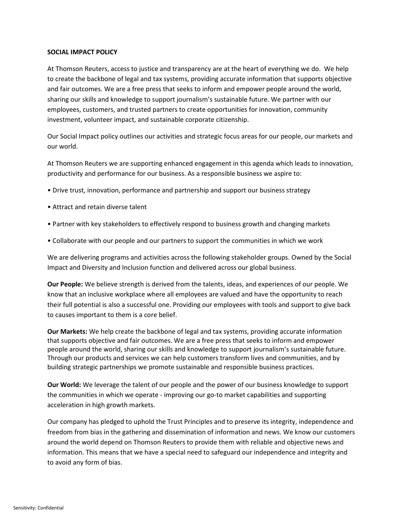## SOCIAL IMPACT POLICY

At Thomson Reuters, access to justice and transparency are at the heart of everything we do. We help to create the backbone of legal and tax systems, providing accurate information that supports objective and fair outcomes. We are a free press that seeks to inform and empower people around the world, sharing our skills and knowledge to support journalism's sustainable future. We partner with our employees, customers, and trusted partners to create opportunities for innovation, community investment, volunteer impact, and sustainable corporate citizenship.

Our Social Impact policy outlines our activities and strategic focus areas for our people, our markets and our world.

At Thomson Reuters we are supporting enhanced engagement in this agenda which leads to innovation, productivity and performance for our business. As a responsible business we aspire to:

- Drive trust, innovation, performance and partnership and support our business strategy
- Attract and retain diverse talent
- Partner with key stakeholders to effectively respond to business growth and changing markets
- Collaborate with our people and our partners to support the communities in which we work

We are delivering programs and activities across the following stakeholder groups. Owned by the Social Impact and Diversity and Inclusion function and delivered across our global business.

Our People: We believe strength is derived from the talents, ideas, and experiences of our people. We know that an inclusive workplace where all employees are valued and have the opportunity to reach their full potential is also a successful one. Providing our employees with tools and support to give back to causes important to them is a core belief.

Our Markets: We help create the backbone of legal and tax systems, providing accurate information that supports objective and fair outcomes. We are a free press that seeks to inform and empower people around the world, sharing our skills and knowledge to support journalism's sustainable future. Through our products and services we can help customers transform lives and communities, and by building strategic partnerships we promote sustainable and responsible business practices.

Our World: We leverage the talent of our people and the power of our business knowledge to support the communities in which we operate - improving our go-to market capabilities and supporting acceleration in high growth markets.

Our company has pledged to uphold the Trust Principles and to preserve its integrity, independence and freedom from bias in the gathering and dissemination of information and news. We know our customers around the world depend on Thomson Reuters to provide them with reliable and objective news and information. This means that we have a special need to safeguard our independence and integrity and to avoid any form of bias.